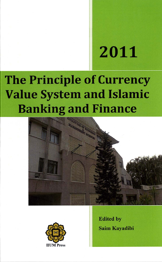# 2011

# **The Principle of Currency Value System and Islamic Banking and Finance**





**Edited by Saim Kavadibi**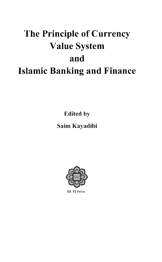## The Principle of Currency **Value System** and **Islamic Banking and Finance**

**Edited by** 

### Saim Kayadibi



**IIUM** Press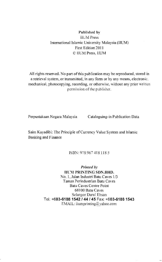#### Published by **IIUM** Press International Islamic University Malaysia (IIUM) First Edition 2011 C IIUM Press, IIUM

All rights reserved. No part of this publication may be reproduced, stored in a retrieval system, or transmitted, in any form or by any means, electronic. mechanical, photocopying, recording, or otherwise, without any prior written permission of the publisher.

Perpustakaan Negara Malaysia Cataloguing-in Publication Data

Saim Kayadibi: The Principle of Currency Value System and Islamic Banking and Finance

ISBN: 978 967 418 118 5

Printed by **IIUM PRINTING SDN.BHD.** No. 1. Jalan Industri Batu Caves 1/3 Taman Perindustrian Batu Caves **Batu Caves Centre Point** 68100 Batu Caves Selangor Darul Ehsan Tel: +603-6188 1542 / 44 / 45 Fax: +603-6188 1543 EMAIL: iiumprinting@yahoo.com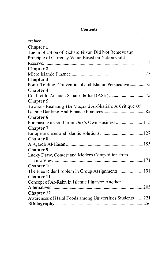#### Contents

| iii<br>Preface                                          |  |
|---------------------------------------------------------|--|
| <b>Chapter 1</b>                                        |  |
| The Implication of Richard Nixon Did Not Remove the     |  |
| Principle of Currency Value Based on Nation Gold        |  |
|                                                         |  |
| <b>Chapter 2</b>                                        |  |
|                                                         |  |
| <b>Chapter 3</b>                                        |  |
| Forex Trading: Conventional and Islamic Perspective55   |  |
| <b>Chapter 4</b>                                        |  |
|                                                         |  |
| Chapter 5                                               |  |
| Towards Realizing The Maqasid Al-Shariah: A Critique Of |  |
|                                                         |  |
| <b>Chapter 6</b>                                        |  |
| Purchasing a Good from One's Own Business115            |  |
| <b>Chapter 7</b>                                        |  |
|                                                         |  |
| Chapter 8                                               |  |
|                                                         |  |
| Chapter 9                                               |  |
| Lucky Draw, Contest and Modern Competition from         |  |
|                                                         |  |
| <b>Chapter 10</b>                                       |  |
| The Free Rider Problem in Group Assignments  191        |  |
| Chapter 11                                              |  |
| Concept of Ar-Rahn in Islamic Finance: Another          |  |
|                                                         |  |
| Chapter 12                                              |  |
| Awareness of Halal Foods among Universities Students221 |  |
|                                                         |  |